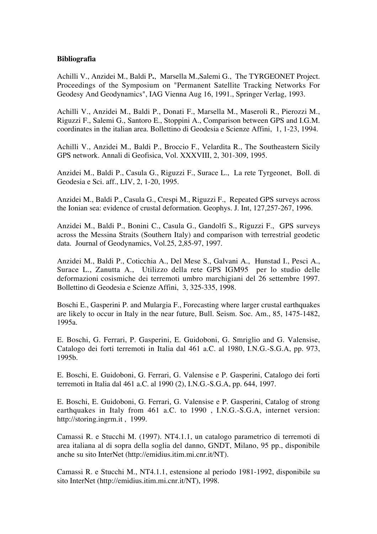## **Bibliografia**

Achilli V., Anzidei M., Baldi P**.**, Marsella M.,Salemi G., The TYRGEONET Project. Proceedings of the Symposium on "Permanent Satellite Tracking Networks For Geodesy And Geodynamics", IAG Vienna Aug 16, 1991., Springer Verlag, 1993.

Achilli V., Anzidei M., Baldi P., Donati F., Marsella M., Maseroli R., Pierozzi M., Riguzzi F., Salemi G., Santoro E., Stoppini A., Comparison between GPS and I.G.M. coordinates in the italian area. Bollettino di Geodesia e Scienze Affini, 1, 1-23, 1994.

Achilli V., Anzidei M., Baldi P., Broccio F., Velardita R., The Southeastern Sicily GPS network. Annali di Geofisica, Vol. XXXVIII, 2, 301-309, 1995.

Anzidei M., Baldi P., Casula G., Riguzzi F., Surace L., La rete Tyrgeonet, Boll. di Geodesia e Sci. aff., LIV, 2, 1-20, 1995.

Anzidei M., Baldi P., Casula G., Crespi M., Riguzzi F., Repeated GPS surveys across the Ionian sea: evidence of crustal deformation. Geophys. J. Int, 127,257-267, 1996.

Anzidei M., Baldi P., Bonini C., Casula G., Gandolfi S., Riguzzi F., GPS surveys across the Messina Straits (Southern Italy) and comparison with terrestrial geodetic data. Journal of Geodynamics, Vol.25, 2,85-97, 1997.

Anzidei M., Baldi P., Coticchia A., Del Mese S., Galvani A., Hunstad I., Pesci A., Surace L., Zanutta A., Utilizzo della rete GPS IGM95 per lo studio delle deformazioni cosismiche dei terremoti umbro marchigiani del 26 settembre 1997. Bollettino di Geodesia e Scienze Affini, 3, 325-335, 1998.

Boschi E., Gasperini P. and Mulargia F., Forecasting where larger crustal earthquakes are likely to occur in Italy in the near future, Bull. Seism. Soc. Am., 85, 1475-1482, 1995a.

E. Boschi, G. Ferrari, P. Gasperini, E. Guidoboni, G. Smriglio and G. Valensise, Catalogo dei forti terremoti in Italia dal 461 a.C. al 1980, I.N.G.-S.G.A, pp. 973, 1995b.

E. Boschi, E. Guidoboni, G. Ferrari, G. Valensise e P. Gasperini, Catalogo dei forti terremoti in Italia dal 461 a.C. al 1990 (2), I.N.G.-S.G.A, pp. 644, 1997.

E. Boschi, E. Guidoboni, G. Ferrari, G. Valensise e P. Gasperini, Catalog of strong earthquakes in Italy from 461 a.C. to 1990 , I.N.G.-S.G.A, internet version: http://storing.ingrm.it , 1999.

Camassi R. e Stucchi M. (1997). NT4.1.1, un catalogo parametrico di terremoti di area italiana al di sopra della soglia del danno, GNDT, Milano, 95 pp., disponibile anche su sito InterNet (http://emidius.itim.mi.cnr.it/NT).

Camassi R. e Stucchi M., NT4.1.1, estensione al periodo 1981-1992, disponibile su sito InterNet (http://emidius.itim.mi.cnr.it/NT), 1998.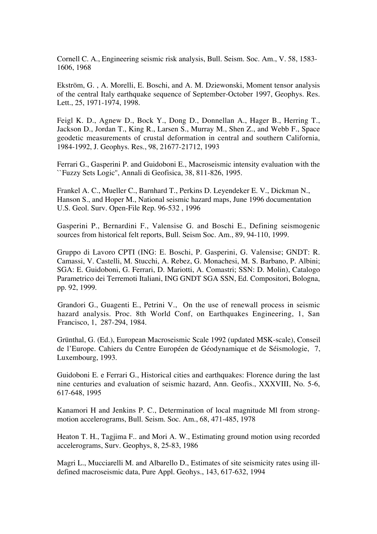Cornell C. A., Engineering seismic risk analysis, Bull. Seism. Soc. Am., V. 58, 1583- 1606, 1968

Ekström, G. , A. Morelli, E. Boschi, and A. M. Dziewonski, Moment tensor analysis of the central Italy earthquake sequence of September-October 1997, Geophys. Res. Lett., 25, 1971-1974, 1998.

Feigl K. D., Agnew D., Bock Y., Dong D., Donnellan A., Hager B., Herring T., Jackson D., Jordan T., King R., Larsen S., Murray M., Shen Z., and Webb F., Space geodetic measurements of crustal deformation in central and southern California, 1984-1992, J. Geophys. Res., 98, 21677-21712, 1993

Ferrari G., Gasperini P. and Guidoboni E., Macroseismic intensity evaluation with the ``Fuzzy Sets Logic'', Annali di Geofisica, 38, 811-826, 1995.

Frankel A. C., Mueller C., Barnhard T., Perkins D. Leyendeker E. V., Dickman N., Hanson S., and Hoper M., National seismic hazard maps, June 1996 documentation U.S. Geol. Surv. Open-File Rep. 96-532 , 1996

Gasperini P., Bernardini F., Valensise G. and Boschi E., Defining seismogenic sources from historical felt reports, Bull. Seism Soc. Am., 89, 94-110, 1999.

Gruppo di Lavoro CPTI (ING: E. Boschi, P. Gasperini, G. Valensise; GNDT: R. Camassi, V. Castelli, M. Stucchi, A. Rebez, G. Monachesi, M. S. Barbano, P. Albini; SGA: E. Guidoboni, G. Ferrari, D. Mariotti, A. Comastri; SSN: D. Molin), Catalogo Parametrico dei Terremoti Italiani, ING GNDT SGA SSN, Ed. Compositori, Bologna, pp. 92, 1999.

Grandori G., Guagenti E., Petrini V., On the use of renewall process in seismic hazard analysis. Proc. 8th World Conf, on Earthquakes Engineering, 1, San Francisco, 1, 287-294, 1984.

Grünthal, G. (Ed.), European Macroseismic Scale 1992 (updated MSK-scale), Conseil de l'Europe. Cahiers du Centre Européen de Géodynamique et de Séismologie, 7, Luxembourg, 1993.

Guidoboni E. e Ferrari G., Historical cities and earthquakes: Florence during the last nine centuries and evaluation of seismic hazard, Ann. Geofis., XXXVIII, No. 5-6, 617-648, 1995

Kanamori H and Jenkins P. C., Determination of local magnitude Ml from strongmotion accelerograms, Bull. Seism. Soc. Am., 68, 471-485, 1978

Heaton T. H., Tagjima F.. and Mori A. W., Estimating ground motion using recorded accelerograms, Surv. Geophys, 8, 25-83, 1986

Magri L., Mucciarelli M. and Albarello D., Estimates of site seismicity rates using illdefined macroseismic data, Pure Appl. Geohys., 143, 617-632, 1994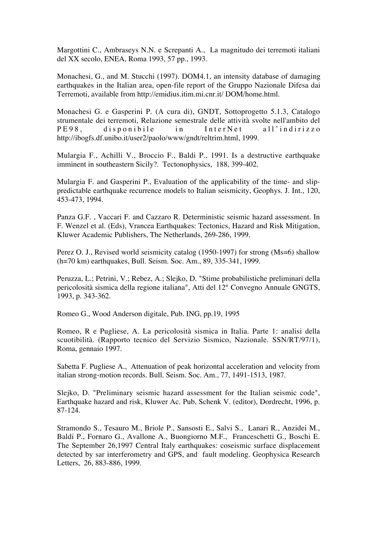Margottini C., Ambraseys N.N. e Screpanti A., La magnitudo dei terremoti italiani del XX secolo, ENEA, Roma 1993, 57 pp., 1993.

Monachesi, G., and M. Stucchi (1997). DOM4.1, an intensity database of damaging earthquakes in the Italian area, open-file report of the Gruppo Nazionale Difesa dai Terremoti, available from http://emidius.itim.mi.cnr.it/ DOM/home.html.

Monachesi G. e Gasperini P. (A cura di), GNDT, Sottoprogetto 5.1.3, Catalogo strumentale dei terremoti, Relazione semestrale delle attività svolte nell'ambito del PE98, disponibile in InterNet all'indirizzo http://ibogfs.df.unibo.it/user2/paolo/www/gndt/reltrim.html, 1999.

Mulargia F., Achilli V., Broccio F., Baldi P., 1991. Is a destructive earthquake imminent in southeastern Sicily?. Tectonophysics, 188, 399-402.

Mulargia F. and Gasperini P., Evaluation of the applicability of the time- and slippredictable earthquake recurrence models to Italian seismicity, Geophys. J. Int., 120, 453-473, 1994.

Panza G.F. , Vaccari F. and Cazzaro R. Deterministic seismic hazard assessment. In F. Wenzel et al. (Eds), Vrancea Earthquakes: Tectonics, Hazard and Risk Mitigation, Kluwer Academic Publishers, The Netherlands, 269-286, 1999.

Perez O. J., Revised world seismicity catalog (1950-1997) for strong (Ms=6) shallow (h=70 km) earthquakes, Bull. Seism. Soc. Am., 89, 335-341, 1999.

Peruzza, L.; Petrini, V.; Rebez, A.; Slejko, D. "Stime probabilistiche preliminari della pericolosità sismica della regione italiana", Atti del 12° Convegno Annuale GNGTS, 1993, p. 343-362.

Romeo G., Wood Anderson digitale, Pub. ING, pp.19, 1995

Romeo, R e Pugliese, A. La pericolosità sismica in Italia. Parte 1: analisi della scuotibilità. (Rapporto tecnico del Servizio Sismico, Nazionale. SSN/RT/97/1), Roma, gennaio 1997.

Sabetta F. Pugliese A., Attenuation of peak horizontal acceleration and velocity from italian strong-motion records. Bull. Seism. Soc. Am., 77, 1491-1513, 1987.

Slejko, D. "Preliminary seismic hazard assessment for the Italian seismic code", Earthquake hazard and risk, Kluwer Ac. Pub, Schenk V. (editor), Dordrecht, 1996, p. 87-124.

Stramondo S., Tesauro M., Briole P., Sansosti E., Salvi S., Lanari R., Anzidei M., Baldi P., Fornaro G., Avallone A., Buongiorno M.F., Franceschetti G., Boschi E. The September 26,1997 Central Italy earthquakes: coseismic surface displacement detected by sar interferometry and GPS, and fault modeling. Geophysica Research Letters, 26, 883-886, 1999.